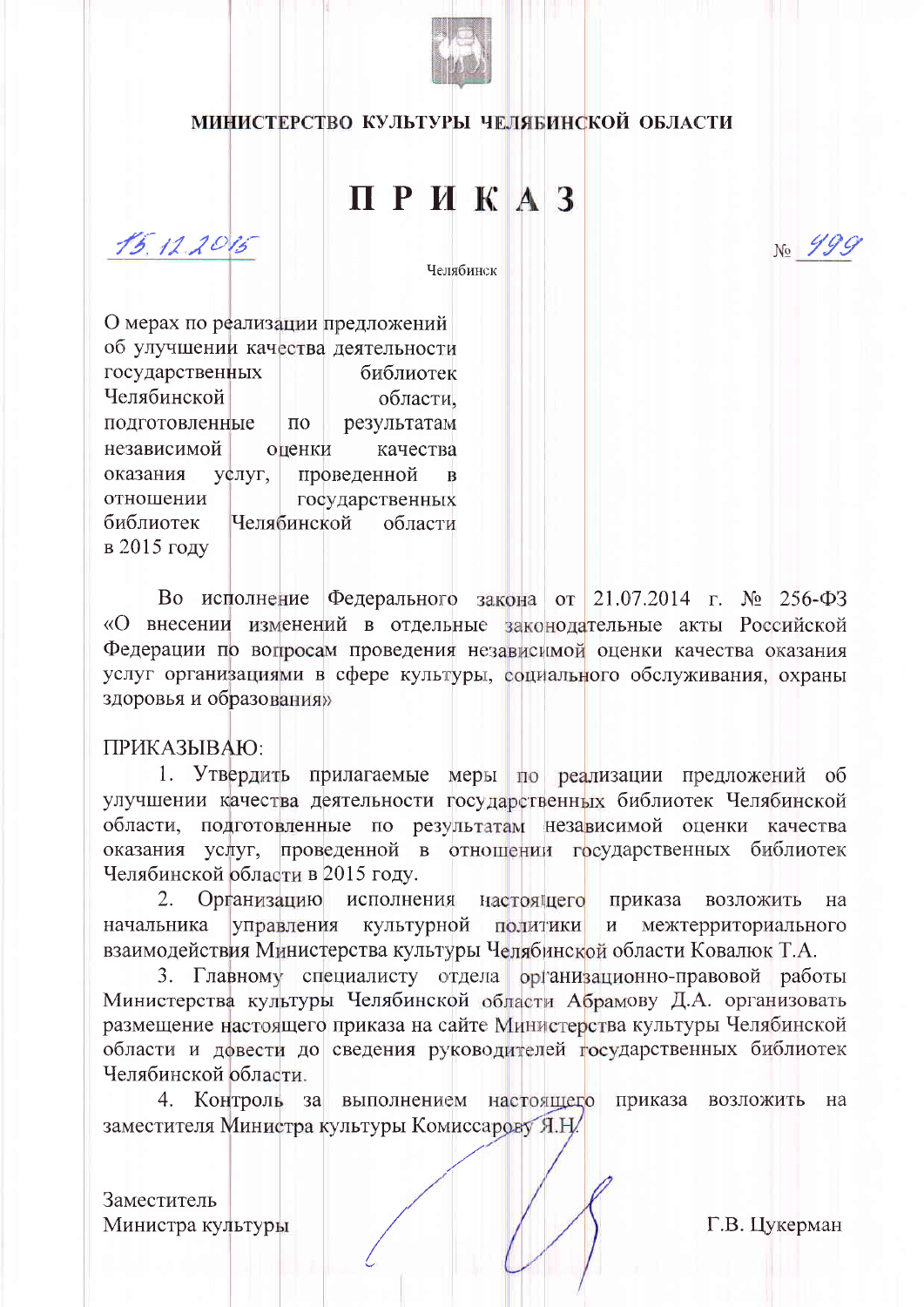

## МИНИСТЕРСТВО КУЛЬТУРЫ ЧЕЛЯБИНСКОЙ ОБЛАСТИ

## ПРИКАЗ

 $15.12.2015$ 

Челябинск

О мерах по реализации предложений об улучшении качества деятельности государственных библиотек Челябинской области. результатам подготовленные  $\Pi$ <sup>O</sup> независимой оценки качества проведенной оказания у¢луг,  $\mathbf{B}$ отношении государственных Челябинской библиотек области в 2015 году

Во исполнение Федерального закона от 21.07.2014 г. № 256-ФЗ «О внесении изменений в отдельные законодательные акты Российской Федерации по вопросам проведения независимой оценки качества оказания услуг организациями в сфере культуры, социального обслуживания, охраны здоровья и образования»

## ПРИКАЗЫВАЮ:

1. Утвердить прилагаемые меры по реализации предложений об улучшении качества деятельности государственных библиотек Челябинской области, подготовленные по результатам независимой оценки качества оказания услуг, проведенной в отношении государственных библиотек Челябинской области в 2015 году.

 $2.$ Организацию исполнения настоящего приказа возложить Ha начальника управления культурной политики межтерриториального взаимодействия Министерства культуры Челябинской области Ковалюк Т.А.

3. Главному специалисту отдела организационно-правовой работы Министерства культуры Челябинской области Абрамову Д.А. организовать размещение настоящего приказа на сайте Министерства культуры Челябинской области и довести до сведения руководителей государственных библиотек Челябинской области.

4. Контроль за выполнением настоящего приказа возложить на заместителя Министра культуры Комиссарову Я.Н.

Заместитель Министра культуры

Г.В. Цукерман

 $N_2$  499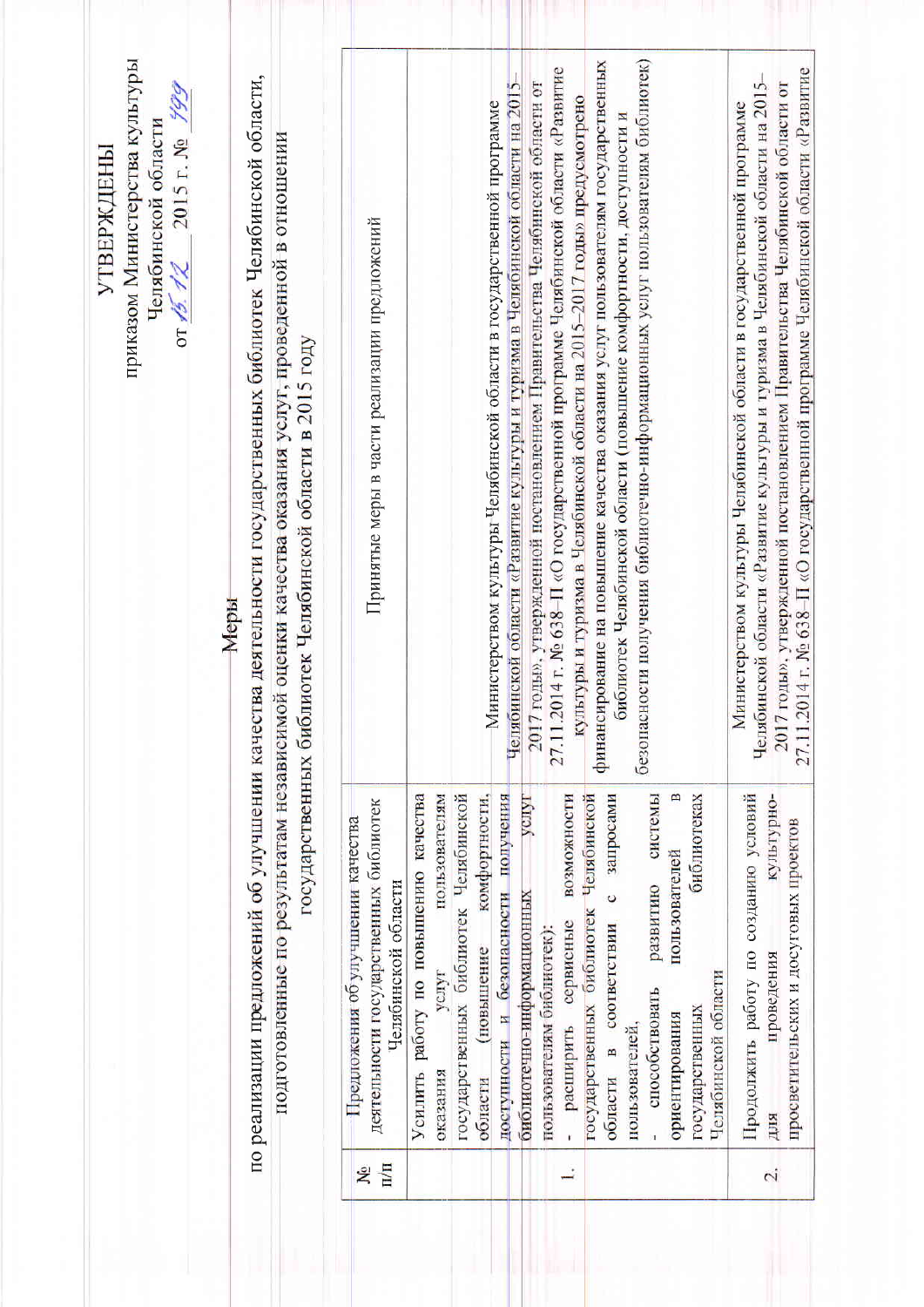| приказом Министерства культуры<br>по реализации предложений об улучшении качества деятельности государственных библиотек Челябинской области,<br>or $45.72$ 2015 r. No $799$<br>Челябинской области<br>подготовленные по результатам независимой оценки качества оказания услуг, проведенной в отношении<br><b>УТВЕРЖДЕНЫ</b><br>Меры | государственных библиотек Челябинской области в 2015 году | Принятые меры в части реализации предложений<br>деятельности государственных библиотек<br>Предложения об улучшении качества<br>Челябинской области | безопасности получения библиотечно-информационных услуг пользователям библиотек)<br>финансирование на повышение качества оказания услуг пользователям государственных<br>27.11.2014 г. № 638-П «О государственной программе Челябинской области «Развитие<br>Челябинской области «Развитие культуры и туризма в Челябинской области на 2015-<br>2017 годы», утвержденной постановлением Правительства Челябинской области от<br>культуры и туризма в Челябинской области на 2015-2017 годы» предусмотрено<br>Министерством культуры Челябинской области в государственной программе<br>библиотек Челябинской области (повышение комфортности, доступности и<br>YCHYT<br>государственных библиотек Челябинской<br>доступности и безопасности получения<br>запросами<br>системы<br>$\mathbf{r}$<br>Усилить работу по повышению качества<br>пользователям<br>возможности<br>оиолиотеках<br>комфортности.<br>Челябинской<br>пользователей<br>развитию<br>$\circ$<br>сервисные<br>соответствии<br>(повышение<br>услуг | Челябинской области «Развитие культуры и туризма в Челябинской области на 2015-<br>2017 годы», утвержденной постановлением Правительства Челябинской области от<br>Министерством культуры Челябинской области в государственной программе<br>Продолжить работу по созданию условий<br>культурно-<br>просветительских и досуговых проектов<br>проведения |
|---------------------------------------------------------------------------------------------------------------------------------------------------------------------------------------------------------------------------------------------------------------------------------------------------------------------------------------|-----------------------------------------------------------|----------------------------------------------------------------------------------------------------------------------------------------------------|------------------------------------------------------------------------------------------------------------------------------------------------------------------------------------------------------------------------------------------------------------------------------------------------------------------------------------------------------------------------------------------------------------------------------------------------------------------------------------------------------------------------------------------------------------------------------------------------------------------------------------------------------------------------------------------------------------------------------------------------------------------------------------------------------------------------------------------------------------------------------------------------------------------------------------------------------------------------------------------------------------------|---------------------------------------------------------------------------------------------------------------------------------------------------------------------------------------------------------------------------------------------------------------------------------------------------------------------------------------------------------|
|                                                                                                                                                                                                                                                                                                                                       |                                                           |                                                                                                                                                    | библиотечно-информационных<br>государственных библиотек<br>пользователям библиотек):<br>Челябинской области<br>способствовать<br>государственных<br>ориентирования<br>расширить<br>пользователей.<br>m<br>области<br>оказания<br>области                                                                                                                                                                                                                                                                                                                                                                                                                                                                                                                                                                                                                                                                                                                                                                         | ДЛЯ                                                                                                                                                                                                                                                                                                                                                     |